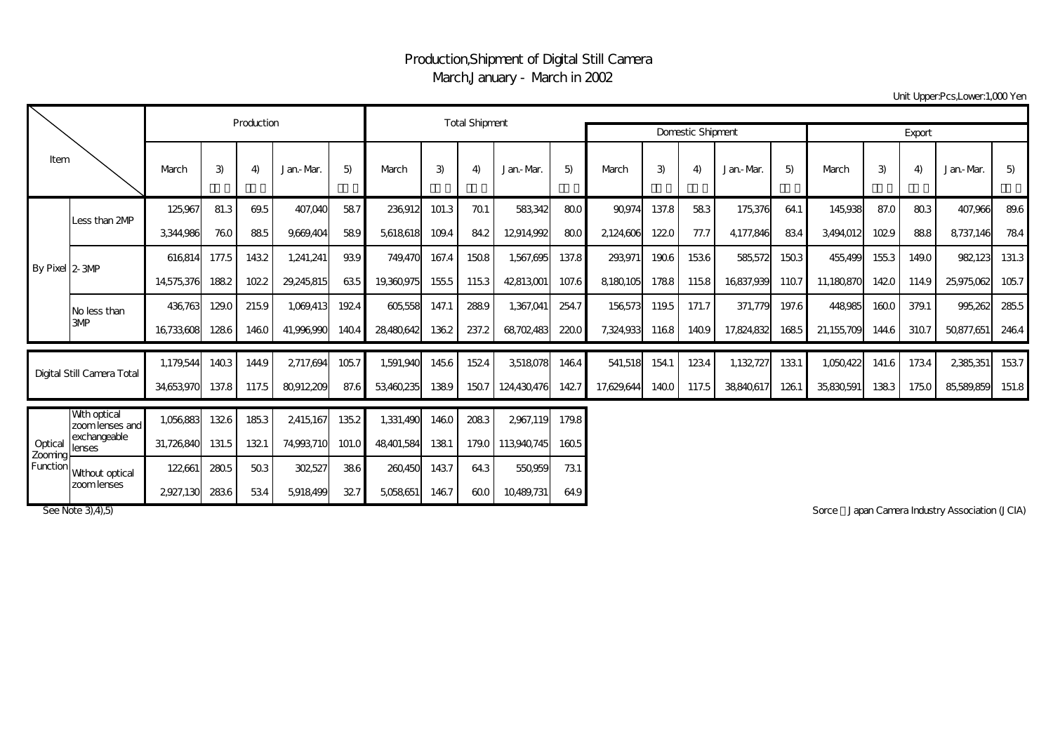## Production,Shipment of Digital Still Camera March,January - March in 2002

Unit Upper:Pcs,Lower:1,000 Yen

| Item                                  |                                  |            | Production |       | <b>Total Shipment</b> |               |               |       |               |                                           |                  |            |       |       |            |       |            |       |       |            |       |
|---------------------------------------|----------------------------------|------------|------------|-------|-----------------------|---------------|---------------|-------|---------------|-------------------------------------------|------------------|------------|-------|-------|------------|-------|------------|-------|-------|------------|-------|
|                                       |                                  |            |            |       |                       |               |               |       |               | <b>Domestic Shipment</b>                  | Export           |            |       |       |            |       |            |       |       |            |       |
|                                       |                                  | March      | 3)         | 4)    | Jan-Mar.              | 5)            | March         | 3)    | 4)            | Jan-Mar.                                  | 5)               | March      | 3)    | 4)    | Jan-Mar.   | 5)    | March      | 3)    | 4)    | Jan-Mar.   | 5)    |
| By Pixel 2-3MP                        |                                  | 125,967    | 81.3       | 69.5  | 407,040               | 587           | 236,912       | 101.3 | 701           | 583,342                                   | 800 <sub>l</sub> | 90.974     | 137.8 | 583   | 175,376    | 64.1  | 145,938    | 87.0  | 803   | 407,966    | 89.6  |
|                                       | Less than 2MP                    | 3,344,986  | 760        | 885   | 9.669.404             | 589           | 5,618,618     | 109.4 | 84.2          | 12914.992                                 | 800              | 2124,606   | 1220  | 77.7  | 4.177.846  | 834   | 3,494,012  | 1029  | 888   | 8,737,146  | 784   |
|                                       |                                  | 616814     | 177.5      | 1432  | 1,241,241             | 939           | 749,470       | 167.4 | 1508          | 1,567,695                                 | 137.8            | 293,971    | 1906  | 1536  | 585,572    | 1503  | 455,499    | 155.3 | 149.0 | 982123     | 131.3 |
|                                       |                                  | 14,575,376 | 1882       | 1022  | 29,245,815            | 635           | 19,360,975    | 155.5 | 1153          | 42813001                                  | 107.6            | 8,180,105  | 1788  | 1158  | 16837,939  | 1107  | 11,180,870 | 1420  | 114.9 | 25,975,062 | 1057  |
|                                       | No less than                     | 436763     | 129.0      | 2159  | 1,069,413             | 1924          | 605,558       | 147.1 | 2889          | 1,367,041                                 | 254.7            | 156,573    | 119.5 | 171.7 | 371,779    | 197.6 | 448,985    | 1600  | 379.1 | 995,262    | 285.5 |
|                                       | 3MP                              | 16,733,608 | 1286       | 1460  | 41,996,990            | 1404          | 28,480,642    | 1362  | 237.2         | 68,702,483                                | 2200             | 7,324,933  | 1168  | 1409  | 17,824,832 | 1685  | 21,155,709 | 144.6 | 3107  | 50,877,651 | 2464  |
| Digital Still Camera Total            |                                  | 1.179.544  | 1403       | 144.9 | 2717.694              | 1057          | 1,591,940     | 1456  | 1524          | 3,518,078                                 | 1464             | 541,518    | 154.1 | 1234  | 1,132,727  | 1331  | 1.050.422  | 141.6 | 1734  | 2,385,351  | 1537  |
|                                       |                                  | 34.653.970 | 137.8      | 117.5 | 80912209              | 87.6          | 53,460,235    | 1389  | 1507          | 124430476                                 | 1427             | 17.629.644 | 1400  | 117.5 | 38840,617  | 1261  | 35,830,591 | 1383  | 1750  | 85,589,859 | 151.8 |
| Optical<br><b>Zooming</b><br>Function | Wth optical<br>zoom lenses and l | 1,056,883  | 1326       | 1853  | 2,415,167             | 135.2         | 1,331,490     | 1460  | 2083          | 2967,119                                  | 179.8            |            |       |       |            |       |            |       |       |            |       |
|                                       | exchangeable<br>lenses           | 31,726,840 | 131.5      | 1321  | 74,993,710            | 101.0         | 48,401,584    | 1381  | 179.0         | 113,940,745                               | 1605             |            |       |       |            |       |            |       |       |            |       |
|                                       | Without optical                  | 122,661    | 2805       | 503   | 302,527               | 386           | 260450        | 1437  | 64.3          | 550959                                    | 731              |            |       |       |            |       |            |       |       |            |       |
|                                       | zoom lenses                      | 2222       | $\sim$     | $  -$ | $   -$                | $\sim$ $\sim$ | $- - - - - -$ |       | $\sim$ $\sim$ | $\sim$ $\sim$ $\sim$ $\sim$ $\sim$ $\sim$ |                  |            |       |       |            |       |            |       |       |            |       |

2927,130 283.6 53.4 5,918,499 32.7 5,058,651 146.7 60.0 10,489,731 64.9

See Note 3), 4), 5) Sorce Japan Camera Industry Association (JCIA)